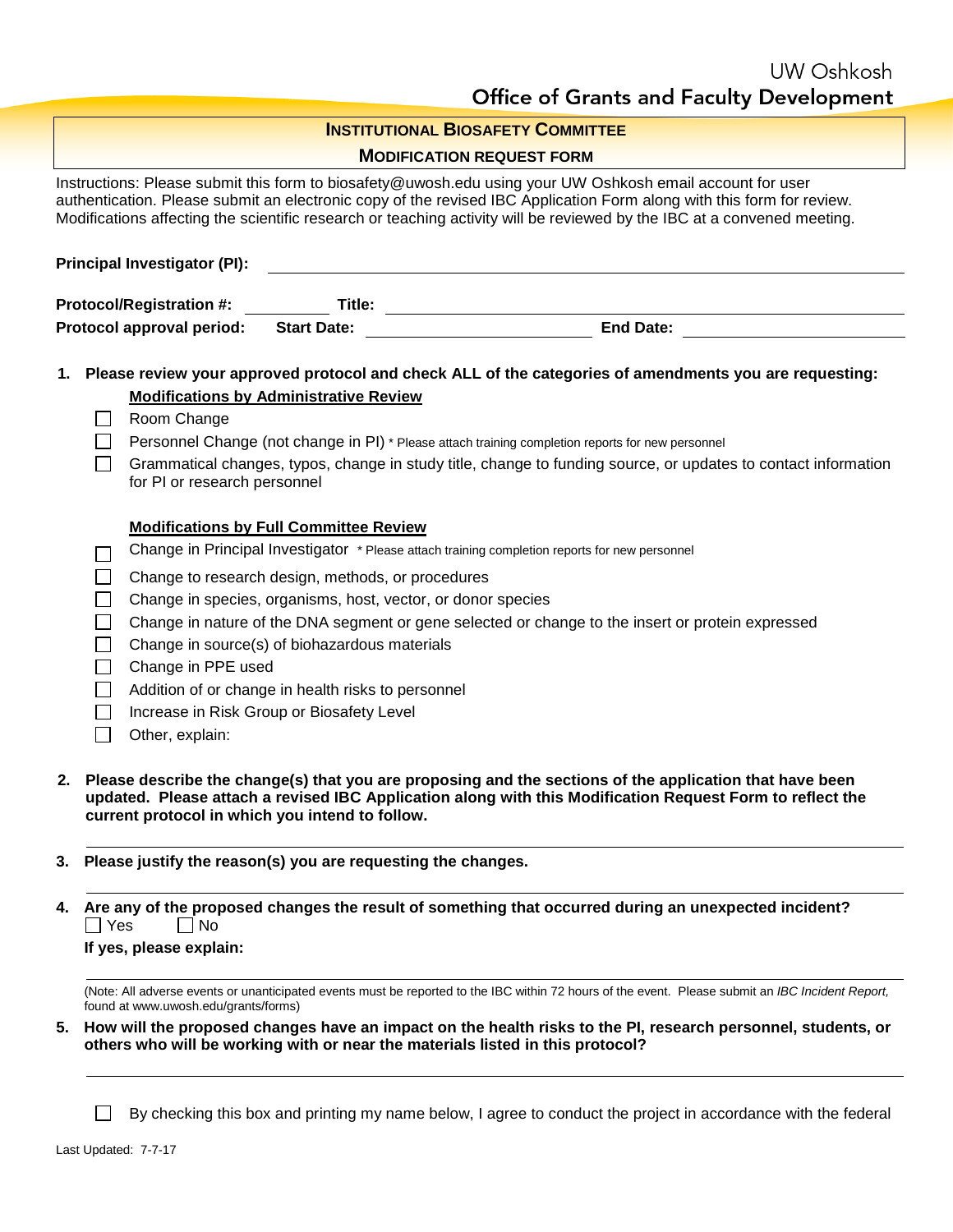| <b>INSTITUTIONAL BIOSAFETY COMMITTEE</b>                                                                                                              |                                                                                                                                                                                                                                                                                         |                                                                                                                                                                                                                                                                                                                                                               |  |  |  |
|-------------------------------------------------------------------------------------------------------------------------------------------------------|-----------------------------------------------------------------------------------------------------------------------------------------------------------------------------------------------------------------------------------------------------------------------------------------|---------------------------------------------------------------------------------------------------------------------------------------------------------------------------------------------------------------------------------------------------------------------------------------------------------------------------------------------------------------|--|--|--|
|                                                                                                                                                       |                                                                                                                                                                                                                                                                                         | <b>MODIFICATION REQUEST FORM</b>                                                                                                                                                                                                                                                                                                                              |  |  |  |
|                                                                                                                                                       |                                                                                                                                                                                                                                                                                         | Instructions: Please submit this form to biosafety@uwosh.edu using your UW Oshkosh email account for user<br>authentication. Please submit an electronic copy of the revised IBC Application Form along with this form for review.<br>Modifications affecting the scientific research or teaching activity will be reviewed by the IBC at a convened meeting. |  |  |  |
|                                                                                                                                                       | <b>Principal Investigator (PI):</b>                                                                                                                                                                                                                                                     |                                                                                                                                                                                                                                                                                                                                                               |  |  |  |
| <b>Protocol/Registration #:</b>                                                                                                                       |                                                                                                                                                                                                                                                                                         |                                                                                                                                                                                                                                                                                                                                                               |  |  |  |
|                                                                                                                                                       | Protocol approval period:<br><b>Start Date:</b><br><u>and the state of the state of the state of the state of the state of the state of the state of the state of the state of the state of the state of the state of the state of the state of the state of the state of the state</u> |                                                                                                                                                                                                                                                                                                                                                               |  |  |  |
|                                                                                                                                                       |                                                                                                                                                                                                                                                                                         |                                                                                                                                                                                                                                                                                                                                                               |  |  |  |
|                                                                                                                                                       |                                                                                                                                                                                                                                                                                         | 1. Please review your approved protocol and check ALL of the categories of amendments you are requesting:                                                                                                                                                                                                                                                     |  |  |  |
|                                                                                                                                                       |                                                                                                                                                                                                                                                                                         | <b>Modifications by Administrative Review</b>                                                                                                                                                                                                                                                                                                                 |  |  |  |
|                                                                                                                                                       |                                                                                                                                                                                                                                                                                         | Room Change                                                                                                                                                                                                                                                                                                                                                   |  |  |  |
|                                                                                                                                                       |                                                                                                                                                                                                                                                                                         | Personnel Change (not change in PI) * Please attach training completion reports for new personnel                                                                                                                                                                                                                                                             |  |  |  |
|                                                                                                                                                       |                                                                                                                                                                                                                                                                                         | Grammatical changes, typos, change in study title, change to funding source, or updates to contact information<br>for PI or research personnel                                                                                                                                                                                                                |  |  |  |
|                                                                                                                                                       |                                                                                                                                                                                                                                                                                         | <b>Modifications by Full Committee Review</b>                                                                                                                                                                                                                                                                                                                 |  |  |  |
|                                                                                                                                                       |                                                                                                                                                                                                                                                                                         | Change in Principal Investigator * Please attach training completion reports for new personnel                                                                                                                                                                                                                                                                |  |  |  |
|                                                                                                                                                       |                                                                                                                                                                                                                                                                                         | Change to research design, methods, or procedures                                                                                                                                                                                                                                                                                                             |  |  |  |
|                                                                                                                                                       |                                                                                                                                                                                                                                                                                         | Change in species, organisms, host, vector, or donor species                                                                                                                                                                                                                                                                                                  |  |  |  |
|                                                                                                                                                       |                                                                                                                                                                                                                                                                                         | Change in nature of the DNA segment or gene selected or change to the insert or protein expressed                                                                                                                                                                                                                                                             |  |  |  |
|                                                                                                                                                       |                                                                                                                                                                                                                                                                                         | Change in source(s) of biohazardous materials                                                                                                                                                                                                                                                                                                                 |  |  |  |
|                                                                                                                                                       |                                                                                                                                                                                                                                                                                         | Change in PPE used                                                                                                                                                                                                                                                                                                                                            |  |  |  |
|                                                                                                                                                       |                                                                                                                                                                                                                                                                                         | Addition of or change in health risks to personnel                                                                                                                                                                                                                                                                                                            |  |  |  |
|                                                                                                                                                       |                                                                                                                                                                                                                                                                                         | Increase in Risk Group or Biosafety Level                                                                                                                                                                                                                                                                                                                     |  |  |  |
|                                                                                                                                                       |                                                                                                                                                                                                                                                                                         | Other, explain:                                                                                                                                                                                                                                                                                                                                               |  |  |  |
| 2.                                                                                                                                                    |                                                                                                                                                                                                                                                                                         | Please describe the change(s) that you are proposing and the sections of the application that have been<br>updated. Please attach a revised IBC Application along with this Modification Request Form to reflect the<br>current protocol in which you intend to follow.                                                                                       |  |  |  |
| З.                                                                                                                                                    |                                                                                                                                                                                                                                                                                         | Please justify the reason(s) you are requesting the changes.                                                                                                                                                                                                                                                                                                  |  |  |  |
| Are any of the proposed changes the result of something that occurred during an unexpected incident?<br>4.<br>l IYes<br>No<br>If yes, please explain: |                                                                                                                                                                                                                                                                                         |                                                                                                                                                                                                                                                                                                                                                               |  |  |  |
|                                                                                                                                                       |                                                                                                                                                                                                                                                                                         | (Note: All adverse events or unanticipated events must be reported to the IBC within 72 hours of the event. Please submit an IBC Incident Report,                                                                                                                                                                                                             |  |  |  |
|                                                                                                                                                       | found at www.uwosh.edu/grants/forms)                                                                                                                                                                                                                                                    |                                                                                                                                                                                                                                                                                                                                                               |  |  |  |
| 5.                                                                                                                                                    |                                                                                                                                                                                                                                                                                         | How will the proposed changes have an impact on the health risks to the PI, research personnel, students, or<br>others who will be working with or near the materials listed in this protocol?                                                                                                                                                                |  |  |  |
|                                                                                                                                                       |                                                                                                                                                                                                                                                                                         | By checking this box and printing my name below, I agree to conduct the project in accordance with the federal                                                                                                                                                                                                                                                |  |  |  |